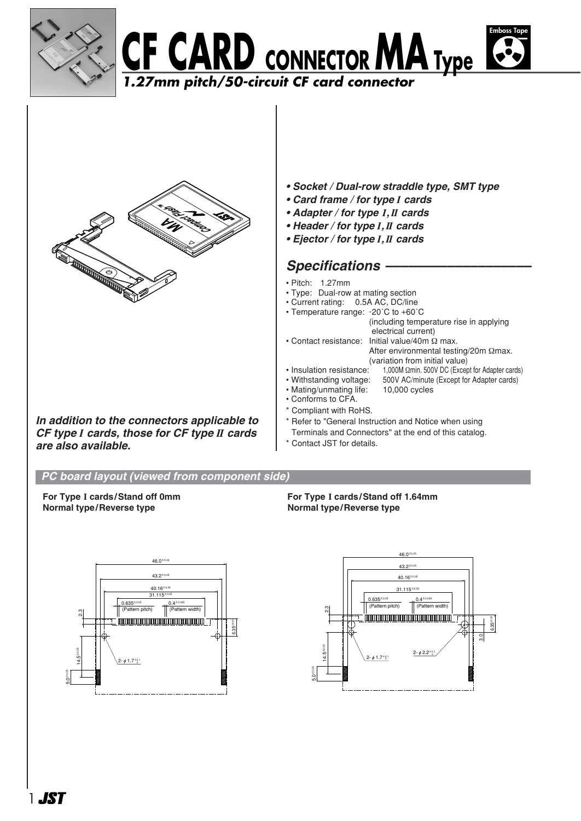





*In addition to the connectors applicable to CF type I cards, those for CF type II cards are also available.*

- *Socket / Dual-row straddle type, SMT type*
- *Card frame / for type I cards*
- *Adapter / for type I,II cards*
- *Header / for type I,II cards*
- *Ejector / for type I,II cards*

### Specifications -

- Pitch: 1.27mm
- Type: Dual-row at mating section
- Current rating: 0.5A AC, DC/line
- Temperature range: -20˚C to +60˚C
- (including temperature rise in applying electrical current) • Contact resistance: Initial value/40m Ω max. After environmental testing/20m Ωmax.
	- (variation from initial value)
- Insulation resistance: 1,000M Ωmin. 500V DC (Except for Adapter cards)
- Withstanding voltage: 500V AC/minute (Except for Adapter cards)<br>• Mating/unmating life: 10,000 cycles
- Mating/unmating life:
- Conforms to CFA.
- \* Compliant with RoHS.
- \* Refer to "General Instruction and Notice when using
- Terminals and Connectors" at the end of this catalog.
- Contact JST for details.

#### *PC board layout (viewed from component side)*

**For Type I cards/Stand off 0mm Normal type/Reverse type**





 $46.0^{\pm0}$  $43.2^{\pm0.05}$  $40.16^{\pm0.05}$ 31.115<sup>±0.05</sup>  $0.635^{\circ}$  $0.4^{\pm 0.035}$ attern pitch) (Pattern width) ო<br>ი 6.35±0.05 3.0 14.5±0.05 2-  $\phi$  2.2+0.1 2-  $\phi$  1.7+0.1 5.0±0.05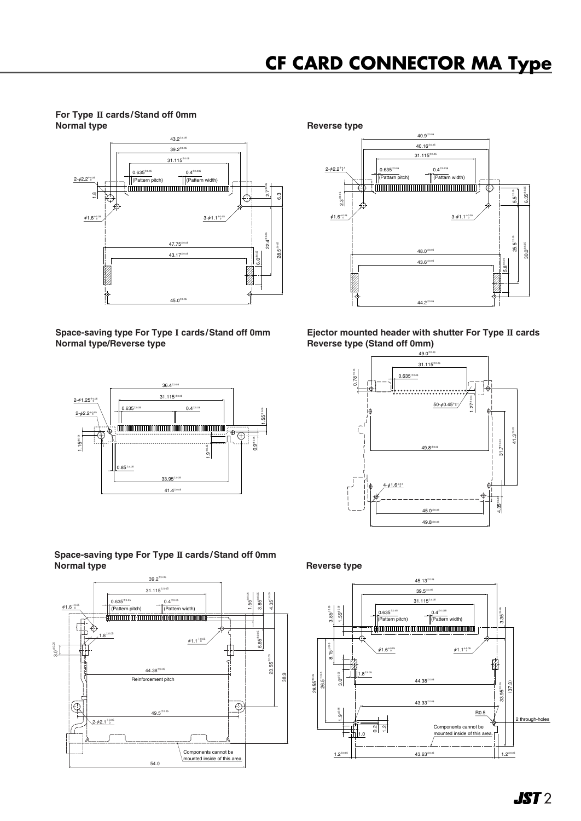**For Type II cards/Stand off 0mm Normal type Reverse type** Reverse type



**Space-saving type For Type I cards/Stand off 0mm Normal type/Reverse type**



| Space-saving type For Type II cards/Stand off 0mm |  |  |  |
|---------------------------------------------------|--|--|--|
| Normal type                                       |  |  |  |





**Ejector mounted header with shutter For Type II cards Reverse type (Stand off 0mm)**





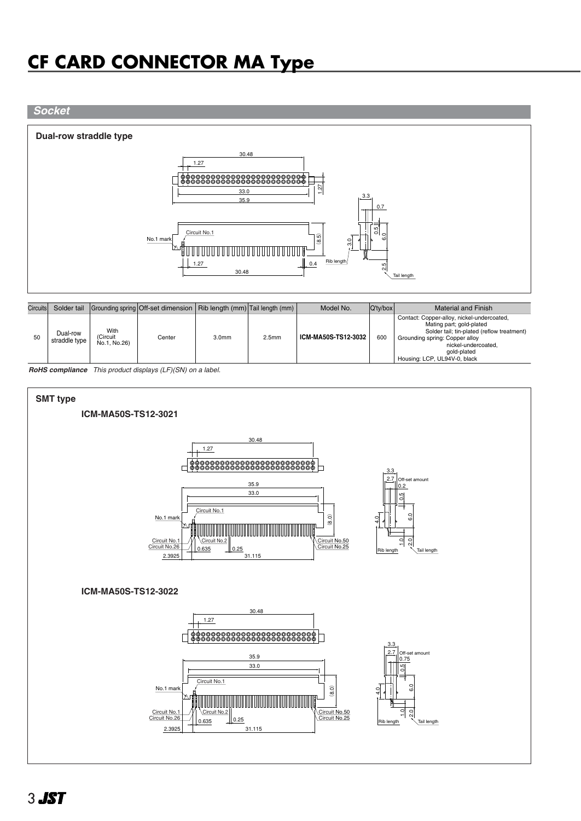#### *Socket*

#### **Dual-row straddle type**



| Circuits |                           |                                  | Solder tail $ $ Grounding spring $ $ Off-set dimension $ $ Rib length $(mm) $ Tail length $(mm) $ |                   |                   | Model No.           | $ Q'$ ty/box | Material and Finish                                                                                                                                                                                                          |
|----------|---------------------------|----------------------------------|---------------------------------------------------------------------------------------------------|-------------------|-------------------|---------------------|--------------|------------------------------------------------------------------------------------------------------------------------------------------------------------------------------------------------------------------------------|
| 50       | Dual-row<br>straddle type | With<br>(Circuit<br>No.1, No.26) | Center                                                                                            | 3.0 <sub>mm</sub> | 2.5 <sub>mm</sub> | ICM-MA50S-TS12-3032 | 600          | Contact: Copper-alloy, nickel-undercoated,<br>Mating part; gold-plated<br>Solder tail; tin-plated (reflow treatment)<br>Grounding spring: Copper alloy<br>nickel-undercoated.<br>gold-plated<br>Housing: LCP, UL94V-0, black |

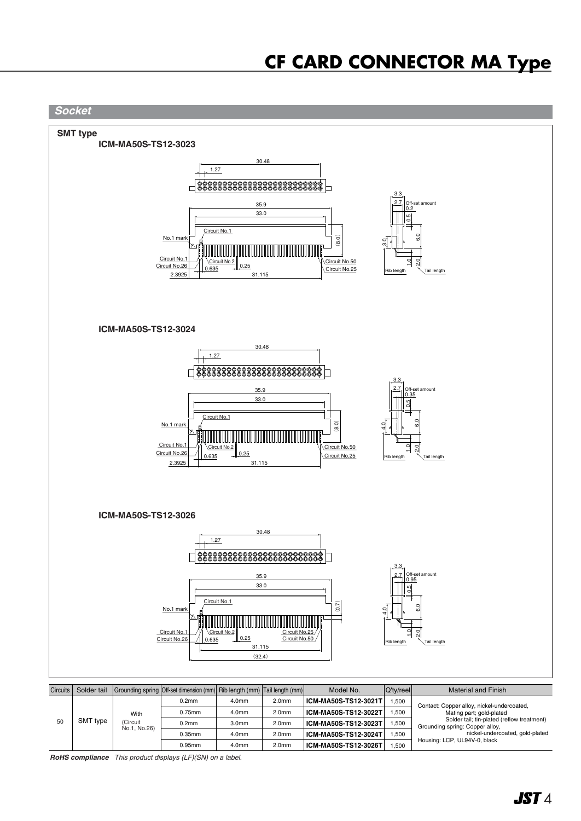

| <b>Circuits</b> |                                                    |                   | Solder tail Grounding spring Off-set dimension (mm) Rib length (mm) Tail length (mm) |                   |                      | Model No.            | <b>Q'ty/reel</b>                                                              | Material and Finish                        |
|-----------------|----------------------------------------------------|-------------------|--------------------------------------------------------------------------------------|-------------------|----------------------|----------------------|-------------------------------------------------------------------------------|--------------------------------------------|
|                 | With<br>SMT type<br>50<br>(Circuit<br>No.1, No.26) |                   | 0.2 <sub>mm</sub>                                                                    | 4.0 <sub>mm</sub> | 2.0 <sub>mm</sub>    | ICM-MA50S-TS12-3021T | .500                                                                          | Contact: Copper alloy, nickel-undercoated, |
|                 |                                                    | $0.75$ mm         | 4.0 <sub>mm</sub>                                                                    | 2.0 <sub>mm</sub> | ICM-MA50S-TS12-3022T | .500                 | Mating part; gold-plated                                                      |                                            |
|                 |                                                    | 0.2 <sub>mm</sub> | 3.0 <sub>mm</sub>                                                                    | 2.0 <sub>mm</sub> | ICM-MA50S-TS12-3023T | .500                 | Solder tail; tin-plated (reflow treatment)<br>Grounding spring: Copper alloy, |                                            |
|                 |                                                    |                   | $0.35$ mm                                                                            | 4.0mm             | 2.0 <sub>mm</sub>    | ICM-MA50S-TS12-3024T | .500                                                                          | nickel-undercoated, gold-plated            |
|                 |                                                    |                   | $0.95$ mm                                                                            | 4.0mm             | 2.0 <sub>mm</sub>    | ICM-MA50S-TS12-3026T | .500                                                                          | Housing: LCP, UL94V-0, black               |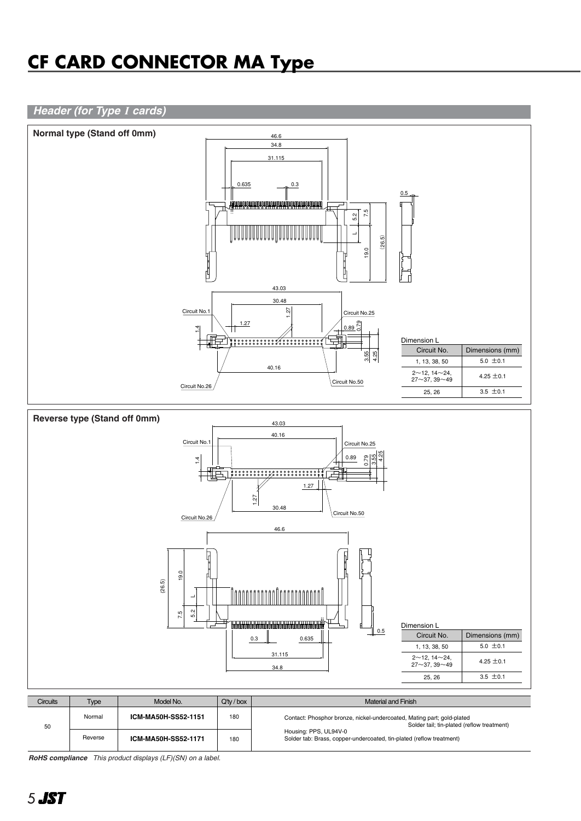#### *Header (for Type I cards)*



| <b>Circuits</b> | Type    | Model No.           | $Q'$ tv / box | Material and Finish                                                                                                  |
|-----------------|---------|---------------------|---------------|----------------------------------------------------------------------------------------------------------------------|
| 50              | Normal  | ICM-MA50H-SS52-1151 | 180           | Contact: Phosphor bronze, nickel-undercoated, Mating part; gold-plated<br>Solder tail; tin-plated (reflow treatment) |
|                 | Reverse | ICM-MA50H-SS52-1171 | 180           | Housing: PPS, UL94V-0<br>Solder tab: Brass, copper-undercoated, tin-plated (reflow treatment)                        |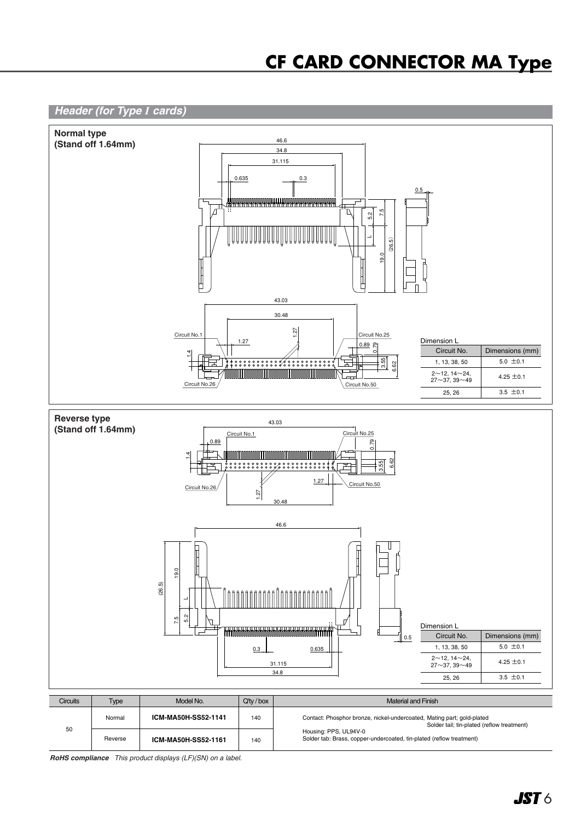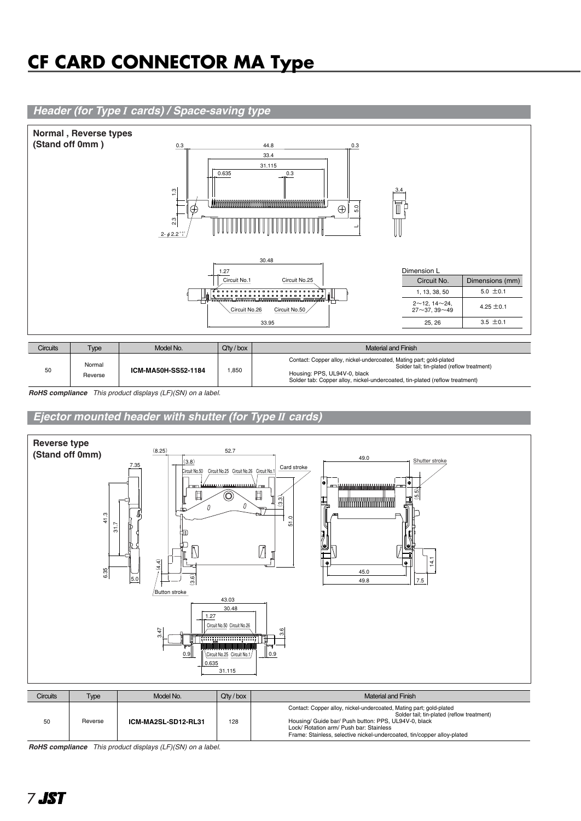### *Header (for Type I cards) / Space-saving type*



| Circuits | Type              | Model No.           | $Q'$ tv / box | Material and Finish                                                                                                                                                                                                              |
|----------|-------------------|---------------------|---------------|----------------------------------------------------------------------------------------------------------------------------------------------------------------------------------------------------------------------------------|
| 50       | Normal<br>Reverse | ICM-MA50H-SS52-1184 | 1,850         | Contact: Copper alloy, nickel-undercoated, Mating part; gold-plated<br>Solder tail; tin-plated (reflow treatment)<br>Housing: PPS, UL94V-0, black<br>Solder tab: Copper alloy, nickel-undercoated, tin-plated (reflow treatment) |

*RoHS compliance This product displays (LF)(SN) on a label.*

*Ejector mounted header with shutter (for Type II cards)* 

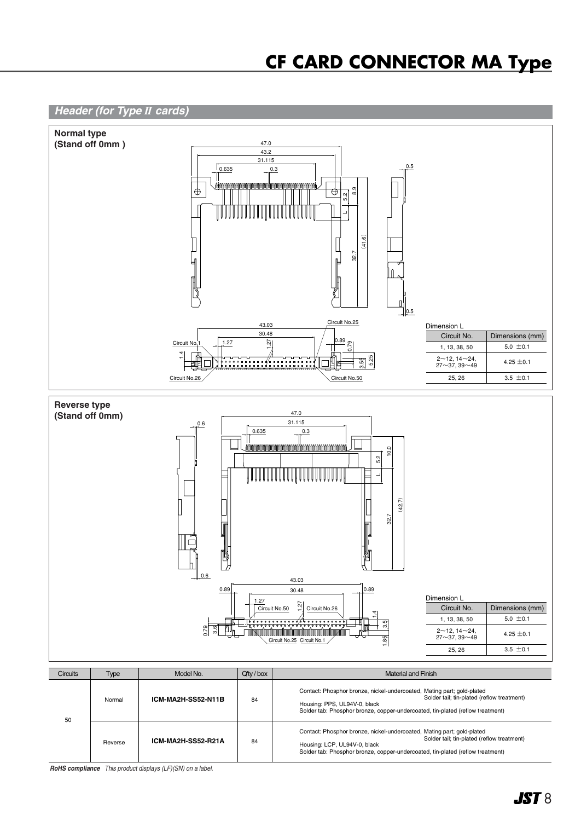

| 50 | Normal  | ICM-MA2H-SS52-N11B | 84 | Contact: Phosphor bronze, nickel-undercoated, Mating part; gold-plated<br>Solder tail: tin-plated (reflow treatment)<br>Housing: PPS, UL94V-0, black<br>Solder tab: Phosphor bronze, copper-undercoated, tin-plated (reflow treatment) |
|----|---------|--------------------|----|----------------------------------------------------------------------------------------------------------------------------------------------------------------------------------------------------------------------------------------|
|    | Reverse | ICM-MA2H-SS52-R21A | 84 | Contact: Phosphor bronze, nickel-undercoated, Mating part; gold-plated<br>Solder tail: tin-plated (reflow treatment)<br>Housing: LCP, UL94V-0, black<br>Solder tab: Phosphor bronze, copper-undercoated, tin-plated (reflow treatment) |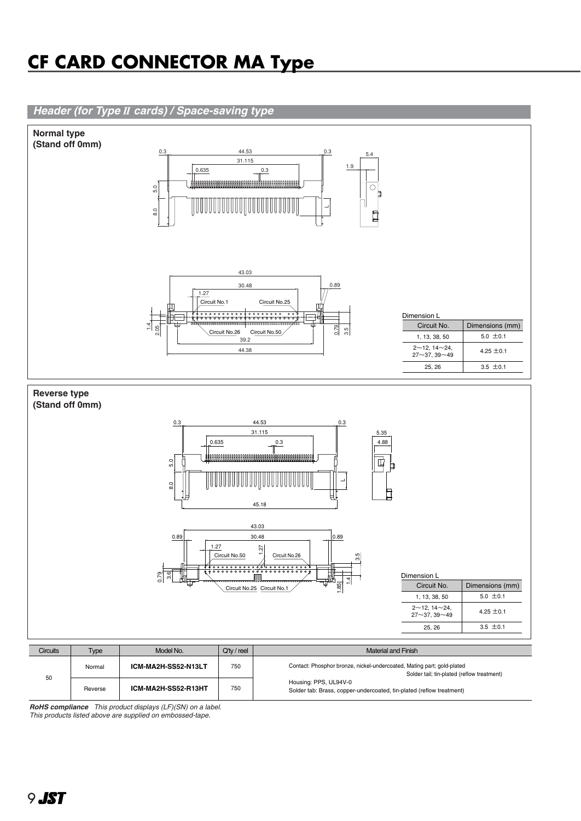

*RoHS compliance This product displays (LF)(SN) on a label. This products listed above are supplied on embossed-tape.*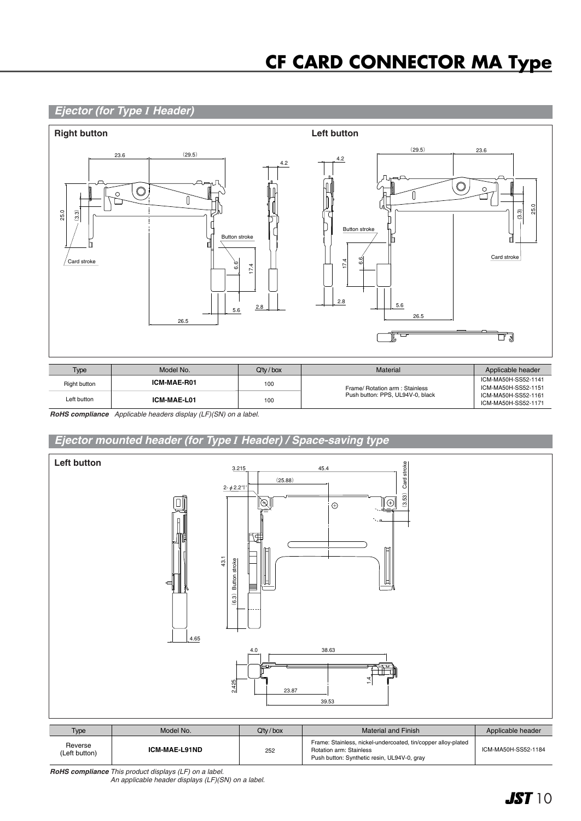#### *Ejector (for Type I Header)*



| Type         | Model No.   | $Q'$ ty / box | Material                         | Applicable header                          |
|--------------|-------------|---------------|----------------------------------|--------------------------------------------|
| Right button | ICM-MAE-R01 | 100           | Frame/ Rotation arm : Stainless  | ICM-MA50H-SS52-1141<br>ICM-MA50H-SS52-1151 |
| Left button  | ICM-MAE-L01 | 100           | Push button: PPS, UL94V-0, black | ICM-MA50H-SS52-1161<br>ICM-MA50H-SS52-1171 |

*RoHS compliance Applicable headers display (LF)(SN) on a label.*

### *Ejector mounted header (for Type I Header) / Space-saving type*



| <b>Type</b>              | Model No.     | $Q'$ tv / box | Material and Finish                                                                                                                     | Applicable header   |
|--------------------------|---------------|---------------|-----------------------------------------------------------------------------------------------------------------------------------------|---------------------|
| Reverse<br>(Left button) | ICM-MAE-L91ND | 252           | Frame: Stainless, nickel-undercoated, tin/copper alloy-plated<br>Rotation arm: Stainless<br>Push button: Synthetic resin, UL94V-0, gray | ICM-MA50H-SS52-1184 |

*RoHS compliance This product displays (LF) on a label. An applicable header displays (LF)(SN) on a label.*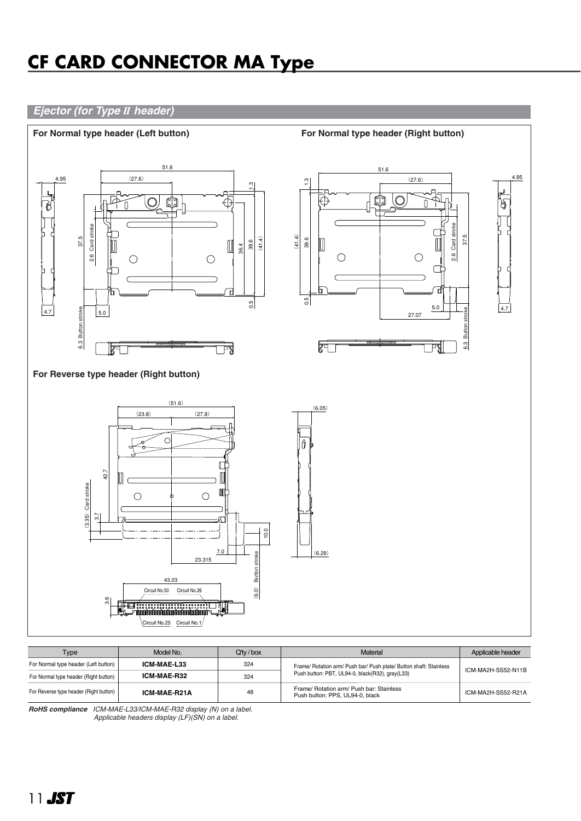### *Ejector (for Type II header)*



| Type                                   | Model No.    | $Q'$ tv / box | <b>Material</b>                                                             | Applicable header  |  |
|----------------------------------------|--------------|---------------|-----------------------------------------------------------------------------|--------------------|--|
| For Normal type header (Left button)   | ICM-MAE-L33  | 324           | Frame/ Rotation arm/ Push bar/ Push plate/ Button shaft: Stainless          | ICM-MA2H-SS52-N11B |  |
| For Normal type header (Right button)  | ICM-MAE-R32  | 324           | Push button: PBT, UL94-0, black(R32), gray(L33)                             |                    |  |
| For Reverse type header (Right button) | ICM-MAE-R21A | 48            | Frame/ Rotation arm/ Push bar: Stainless<br>Push button: PPS, UL94-0, black | ICM-MA2H-SS52-R21A |  |

*RoHS compliance ICM-MAE-L33/ICM-MAE-R32 display (N) on a label. Applicable headers display (LF)(SN) on a label.*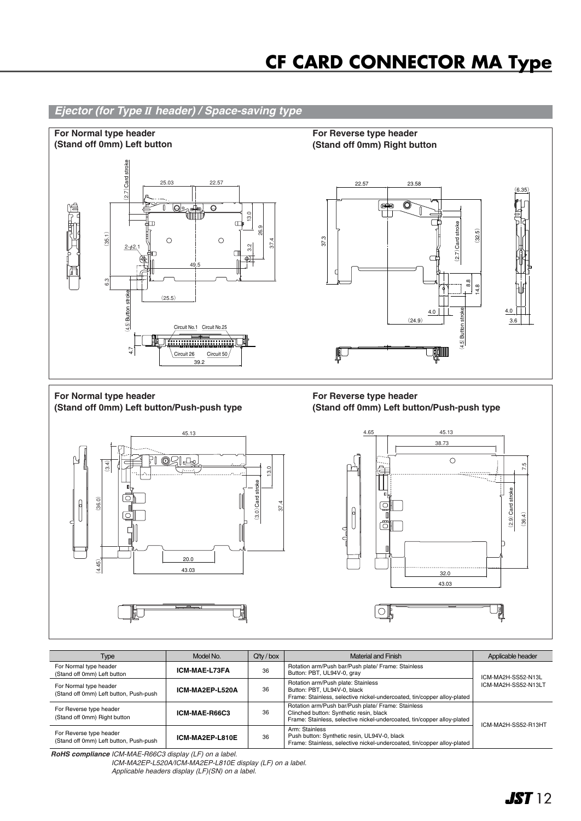

| Type                                                              | Model No.       | $Q'$ ty / box | <b>Material and Finish</b>                                                                                                                                               | Applicable header   |
|-------------------------------------------------------------------|-----------------|---------------|--------------------------------------------------------------------------------------------------------------------------------------------------------------------------|---------------------|
| For Normal type header<br>(Stand off 0mm) Left button             | ICM-MAE-L73FA   | 36            | Rotation arm/Push bar/Push plate/ Frame: Stainless<br>Button: PBT, UL94V-0, gray                                                                                         | ICM-MA2H-SS52-N13L  |
| For Normal type header<br>(Stand off 0mm) Left button, Push-push  | ICM-MA2EP-L520A | 36            | Rotation arm/Push plate: Stainless<br>Button: PBT, UL94V-0, black<br>Frame: Stainless, selective nickel-undercoated, tin/copper alloy-plated                             | ICM-MA2H-SS52-N13LT |
| For Reverse type header<br>(Stand off 0mm) Right button           | ICM-MAE-R66C3   | 36            | Rotation arm/Push bar/Push plate/ Frame: Stainless<br>Clinched button: Synthetic resin, black<br>Frame: Stainless, selective nickel-undercoated, tin/copper alloy-plated | ICM-MA2H-SS52-R13HT |
| For Reverse type header<br>(Stand off 0mm) Left button, Push-push | ICM-MA2EP-L810E | 36            | Arm: Stainless<br>Push button: Synthetic resin, UL94V-0, black<br>Frame: Stainless, selective nickel-undercoated, tin/copper alloy-plated                                |                     |

*RoHS compliance ICM-MAE-R66C3 display (LF) on a label.*

*ICM-MA2EP-L520A/ICM-MA2EP-L810E display (LF) on a label. Applicable headers display (LF)(SN) on a label.*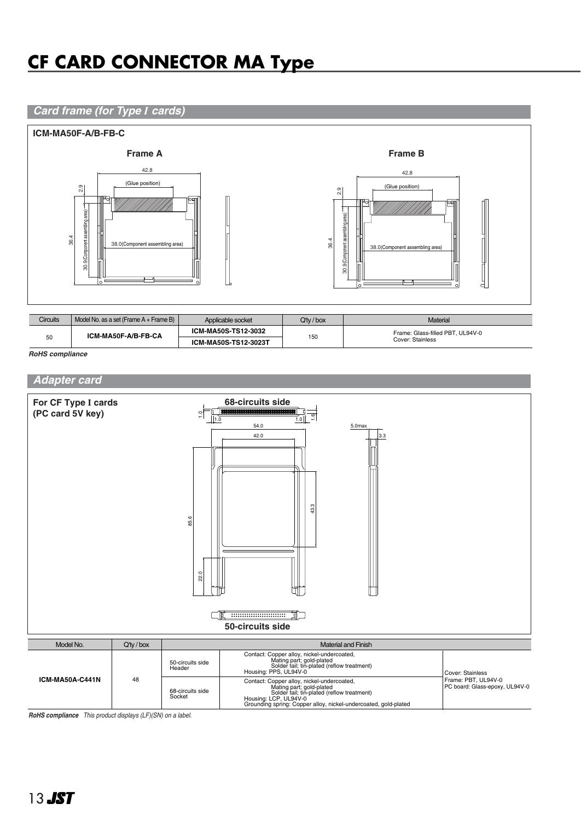### *Card frame (for Type I cards)*



| Circuits                  | Model No. as a set (Frame A + Frame B) | Applicable socket | $Q'$ tv / box                    | Material |
|---------------------------|----------------------------------------|-------------------|----------------------------------|----------|
| ICM-MA50F-A/B-FB-CA<br>50 | ICM-MA50S-TS12-3032                    |                   | Frame: Glass-filled PBT, UL94V-0 |          |
|                           | ICM-MA50S-TS12-3023T                   | 150               | Cover: Stainless                 |          |

*RoHS compliance*

#### *Adapter card*